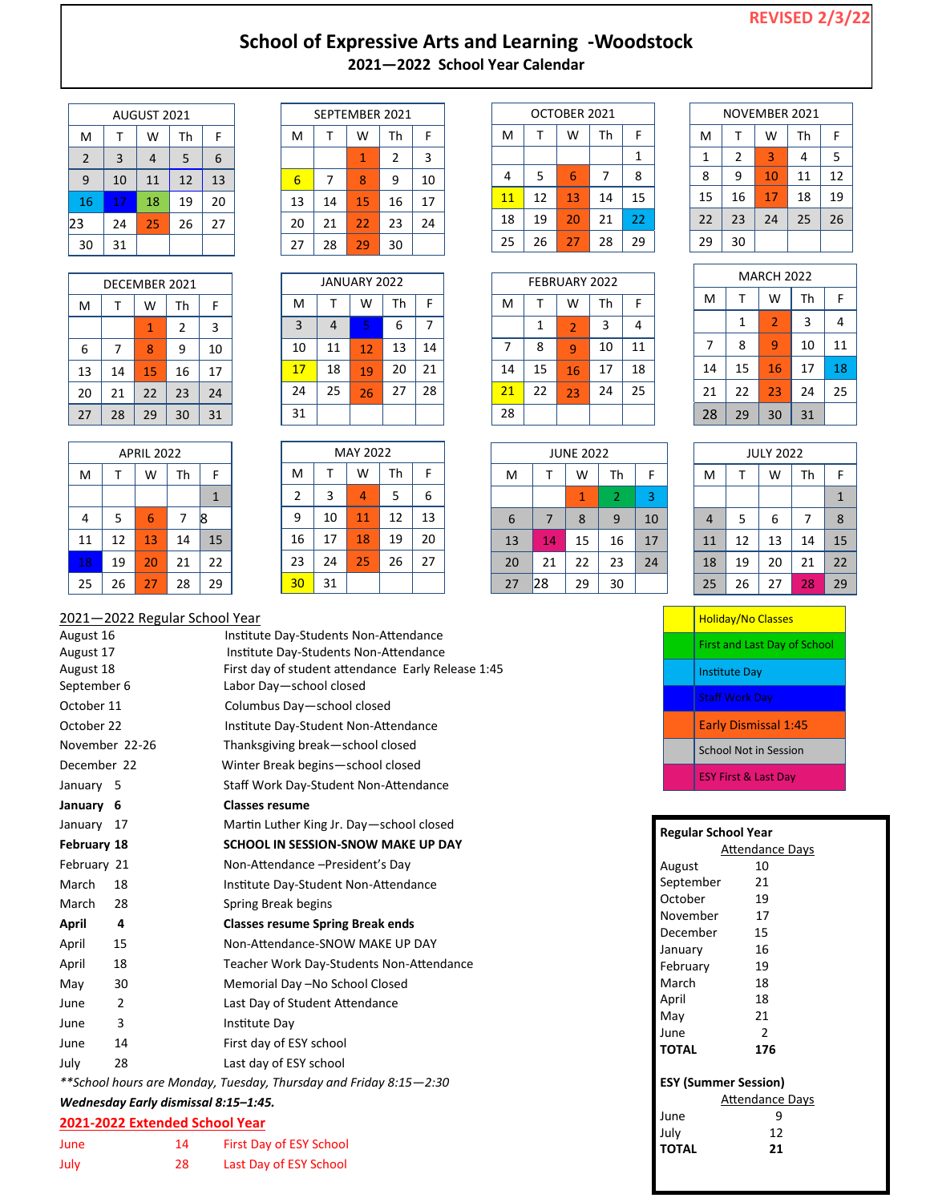## **REVISED 2/3/22**

### **School of Expressive Arts and Learning -Woodstock 2021—2022 School Year Calendar**

| AUGUST 2021    |    |    |    |    |
|----------------|----|----|----|----|
| M              | т  | W  | Th | F  |
| $\overline{2}$ | 3  | 4  | 5  | 6  |
| 9              | 10 | 11 | 12 | 13 |
| 16             | 17 | 18 | 19 | 20 |
| 23             | 24 | 25 | 26 | 27 |
| 30             | 31 |    |    |    |

| DECEMBER 2021 |    |    |    |    |  |
|---------------|----|----|----|----|--|
| M             | т  | W  | Th | F  |  |
|               |    | 1  | 2  | 3  |  |
| 6             | 7  | 8  | 9  | 10 |  |
| 13            | 14 | 15 | 16 | 17 |  |
| 20            | 21 | 22 | 23 | 24 |  |
| 27            | 28 | 29 | 30 | 31 |  |

| <b>APRIL 2022</b> |              |    |    |    |  |  |
|-------------------|--------------|----|----|----|--|--|
| M                 | Th<br>W<br>F |    |    |    |  |  |
|                   |              |    |    |    |  |  |
| 4                 | 5            | 6  | 7  | l8 |  |  |
| 11                | 12           | 13 | 14 | 15 |  |  |
| 18                | 19           | 20 | 21 | 22 |  |  |
| 25                | 26           | 27 | 28 | 29 |  |  |

|    | SEPTEMBER 2021 |    |    |    |  |
|----|----------------|----|----|----|--|
| M  | т              | W  | Th | F  |  |
|    |                |    | 2  | 3  |  |
| 6  | 7              | 8  | 9  | 10 |  |
| 13 | 14             | 15 | 16 | 17 |  |
| 20 | 21             | 22 | 23 | 24 |  |
| 27 | 28             | 29 | 30 |    |  |

| <b>JANUARY 2022</b> |    |    |    |    |  |
|---------------------|----|----|----|----|--|
| M                   | т  | W  | Th | F  |  |
| $\overline{3}$      | 4  | 5  | 6  |    |  |
| 10                  | 11 | 12 | 13 | 14 |  |
| 17                  | 18 | 19 | 20 | 21 |  |
| 24                  | 25 | 26 | 27 | 28 |  |
| 31                  |    |    |    |    |  |

| <b>MAY 2022</b> |    |    |    |    |
|-----------------|----|----|----|----|
| M               | т  | W  | Th | F  |
| $\overline{2}$  | 3  | 4  | 5  | 6  |
| 9               | 10 | 11 | 12 | 13 |
| 16              | 17 | 18 | 19 | 20 |
| 23              | 24 | 25 | 26 | 27 |
| 30              | 31 |    |    |    |

| OCTOBER 2021 |    |    |    |    |
|--------------|----|----|----|----|
| M            | т  | W  | Th | F  |
|              |    |    |    | 1  |
| 4            | 5  | 6  | 7  | 8  |
| 11           | 12 | 13 | 14 | 15 |
| 18           | 19 | 20 | 21 | 22 |
| 25           | 26 | 27 | 28 | 29 |

| <b>FEBRUARY 2022</b> |                |    |    |  |
|----------------------|----------------|----|----|--|
| т                    | W              | Th | F  |  |
| 1                    | $\overline{2}$ | 3  | 4  |  |
| 8                    | 9              | 10 | 11 |  |
| 15                   | 16             | 17 | 18 |  |
| 22                   | 23             | 24 | 25 |  |
|                      |                |    |    |  |
|                      |                |    |    |  |

| NOVEMBER 2021 |    |    |    |    |
|---------------|----|----|----|----|
| M             | т  | W  | Th | F  |
| 1             | 2  | 3  | 4  | 5  |
| 8             | 9  | 10 | 11 | 12 |
| 15            | 16 | 17 | 18 | 19 |
| 22            | 23 | 24 | 25 | 26 |
| 29            | 30 |    |    |    |

|   | RY 2022 |    |    | ľ                       |
|---|---------|----|----|-------------------------|
| V | Th      | F  | M  |                         |
|   | 3       | 4  |    | 1                       |
|   | 10      | 11 | 7  | ٤                       |
| 6 | 17      | 18 | 14 | 1                       |
| 3 | 24      | 25 | 21 | $\overline{\mathbf{c}}$ |
|   |         |    | 28 | $\overline{2}$          |
|   |         |    |    |                         |

| <b>MARCH 2022</b> |    |                |    |    |  |
|-------------------|----|----------------|----|----|--|
| M                 | т  | W              | Th | F  |  |
|                   | 1  | $\overline{2}$ | 3  | 4  |  |
| 7                 | 8  | 9              | 10 | 11 |  |
| 14                | 15 | 16             | 17 | 18 |  |
| 21                | 22 | 23             | 24 | 25 |  |
| 28                | 29 | 30             | 31 |    |  |

| <b>JUNE 2022</b> |    |    |    |    |
|------------------|----|----|----|----|
| M                | т  | W  | Th | F  |
|                  |    | 1  | 2  | 3  |
| 6                | 7  | 8  | 9  | 10 |
| 13               | 14 | 15 | 16 | 17 |
| 20               | 21 | 22 | 23 | 24 |
| 27               | 28 | 29 | 30 |    |

| <b>JULY 2022</b> |    |    |    |    |
|------------------|----|----|----|----|
| M                | т  | w  | Th | F  |
|                  |    |    |    | 1  |
| 4                | 5  | 6  | 7  | 8  |
| 11               | 12 | 13 | 14 | 15 |
| 18               | 19 | 20 | 21 | 22 |
| 25               | 26 | 27 | 28 | 29 |

| <b>Holiday/No Classes</b>           |
|-------------------------------------|
| <b>First and Last Day of School</b> |
| <b>Institute Day</b>                |
| <b>Staff Work Day</b>               |
| <b>Early Dismissal 1:45</b>         |
| <b>School Not in Session</b>        |
| <b>ESY First &amp; Last Day</b>     |

| Regular School Year |                             |
|---------------------|-----------------------------|
|                     | <b>Attendance Days</b>      |
| August              | 10                          |
| September           | 21                          |
| October             | 19                          |
| November            | 17                          |
| December            | 15                          |
| January             | 16                          |
| February            | 19                          |
| March               | 18                          |
| April               | 18                          |
| May                 | 21                          |
| June                | $\mathfrak{p}$              |
| <b>TOTAL</b>        | 176                         |
|                     | <b>ESY (Summer Session)</b> |
|                     | <b>Attendance Days</b>      |
| June                | 9                           |
| July                | 12                          |
| TOTAL               | 21                          |
|                     |                             |

#### 2021—2022 Regular School Year

| August 16   |                | Institute Day-Students Non-Attendance              |
|-------------|----------------|----------------------------------------------------|
| August 17   |                | Institute Day-Students Non-Attendance              |
| August 18   |                | First day of student attendance Early Release 1:45 |
| September 6 |                | Labor Day-school closed                            |
| October 11  |                | Columbus Day-school closed                         |
| October 22  |                | Institute Day-Student Non-Attendance               |
|             | November 22-26 | Thanksgiving break-school closed                   |
| December 22 |                | Winter Break begins-school closed                  |
| January 5   |                | Staff Work Day-Student Non-Attendance              |
| January 6   |                | <b>Classes resume</b>                              |
| January 17  |                | Martin Luther King Jr. Day-school closed           |
| February 18 |                | SCHOOL IN SESSION-SNOW MAKE UP DAY                 |
| February 21 |                | Non-Attendance - President's Day                   |
| March       | 18             | Institute Day-Student Non-Attendance               |
| March       | 28             | Spring Break begins                                |
| April       | 4              | <b>Classes resume Spring Break ends</b>            |
| April       | 15             | Non-Attendance-SNOW MAKE UP DAY                    |
| April       | 18             | Teacher Work Day-Students Non-Attendance           |
| May         | 30             | Memorial Day -No School Closed                     |
| June        | $\overline{2}$ | Last Day of Student Attendance                     |
| June        | 3              | Institute Day                                      |
| June        | 14             | First day of ESY school                            |
| July        | 28             | Last day of ESY school                             |
|             |                |                                                    |

*\*\*School hours are Monday, Tuesday, Thursday and Friday 8:15—2:30*

# *Wednesday Early dismissal 8:15–1:45.*

| 2021-2022 Extended School Year |  |  |
|--------------------------------|--|--|
|                                |  |  |

| June | 14 | First Day of ESY School |
|------|----|-------------------------|
| July | 28 | Last Day of ESY School  |